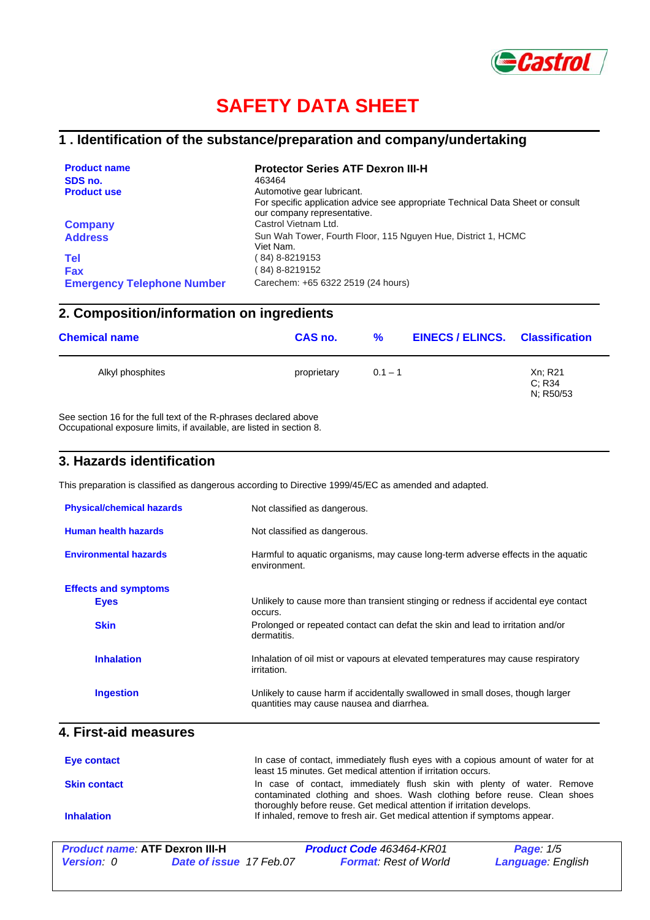

# **SAFETY DATA SHEET**

#### **1 . Identification of the substance/preparation and company/undertaking**

| <b>Product name</b>               | <b>Protector Series ATF Dexron III-H</b>                                                                       |
|-----------------------------------|----------------------------------------------------------------------------------------------------------------|
| SDS no.                           | 463464                                                                                                         |
| <b>Product use</b>                | Automotive gear lubricant.                                                                                     |
|                                   | For specific application advice see appropriate Technical Data Sheet or consult<br>our company representative. |
| <b>Company</b>                    | Castrol Vietnam Ltd.                                                                                           |
| <b>Address</b>                    | Sun Wah Tower, Fourth Floor, 115 Nguyen Hue, District 1, HCMC<br>Viet Nam.                                     |
| <b>Tel</b>                        | ( 84) 8-8219153                                                                                                |
| <b>Fax</b>                        | (84) 8-8219152                                                                                                 |
| <b>Emergency Telephone Number</b> | Carechem: +65 6322 2519 (24 hours)                                                                             |

### **2. Composition/information on ingredients**

| <b>Chemical name</b> | CAS no.     | %         | <b>EINECS/ELINCS. Classification</b> |                                |  |
|----------------------|-------------|-----------|--------------------------------------|--------------------------------|--|
| Alkyl phosphites     | proprietary | $0.1 - 1$ |                                      | Xn; R21<br>C: R34<br>N: R50/53 |  |
|                      |             |           |                                      |                                |  |

See section 16 for the full text of the R-phrases declared above Occupational exposure limits, if available, are listed in section 8.

#### **3. Hazards identification**

This preparation is classified as dangerous according to Directive 1999/45/EC as amended and adapted.

| <b>Physical/chemical hazards</b> | Not classified as dangerous.                                                                                                |
|----------------------------------|-----------------------------------------------------------------------------------------------------------------------------|
| Human health hazards             | Not classified as dangerous.                                                                                                |
| <b>Environmental hazards</b>     | Harmful to aquatic organisms, may cause long-term adverse effects in the aquatic<br>environment.                            |
| <b>Effects and symptoms</b>      |                                                                                                                             |
| <b>Eyes</b>                      | Unlikely to cause more than transient stinging or redness if accidental eye contact<br>occurs.                              |
| <b>Skin</b>                      | Prolonged or repeated contact can defat the skin and lead to irritation and/or<br>dermatitis.                               |
| <b>Inhalation</b>                | Inhalation of oil mist or vapours at elevated temperatures may cause respiratory<br>irritation.                             |
| <b>Ingestion</b>                 | Unlikely to cause harm if accidentally swallowed in small doses, though larger<br>quantities may cause nausea and diarrhea. |

#### **4. First-aid measures**

| Eye contact         | In case of contact, immediately flush eyes with a copious amount of water for at<br>least 15 minutes. Get medical attention if irritation occurs.                                                                             |
|---------------------|-------------------------------------------------------------------------------------------------------------------------------------------------------------------------------------------------------------------------------|
| <b>Skin contact</b> | In case of contact, immediately flush skin with plenty of water. Remove<br>contaminated clothing and shoes. Wash clothing before reuse. Clean shoes<br>thoroughly before reuse. Get medical attention if irritation develops. |
| <b>Inhalation</b>   | If inhaled, remove to fresh air. Get medical attention if symptoms appear.                                                                                                                                                    |

| <b>Product name: ATF Dexron III-H</b> |                                | <b>Product Code 463464-KR01</b> | <b>Page:</b> 1/5         |
|---------------------------------------|--------------------------------|---------------------------------|--------------------------|
| <b>Version</b> : 0                    | <b>Date of issue 17 Feb.07</b> | <b>Format:</b> Rest of World    | <b>Language: English</b> |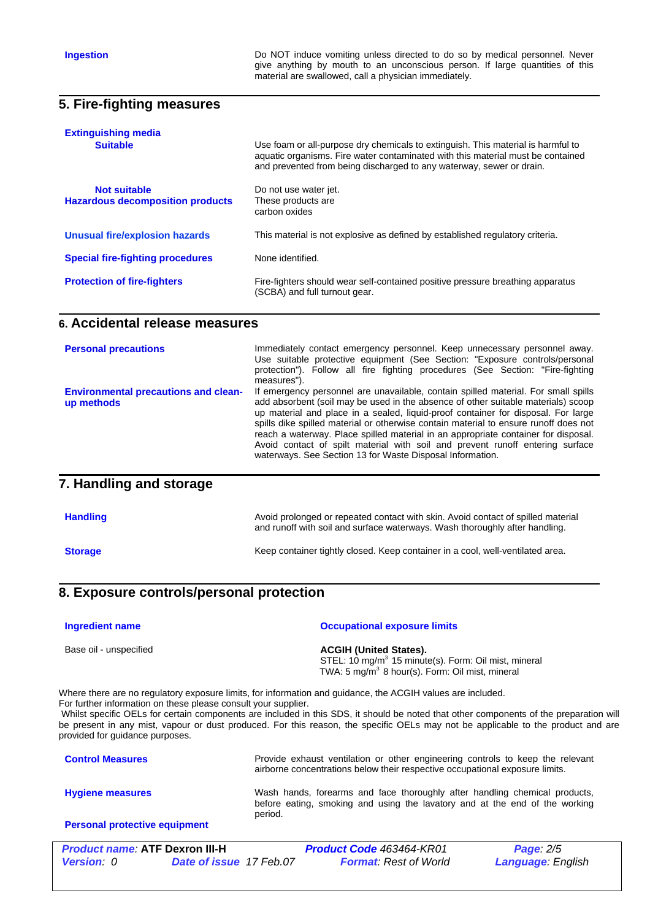**Ingestion Do NOT** induce vomiting unless directed to do so by medical personnel. Never give anything by mouth to an unconscious person. If large quantities of this material are swallowed, call a physician immediately.

#### **5. Fire-fighting measures**

| <b>Extinguishing media</b><br><b>Suitable</b>           | Use foam or all-purpose dry chemicals to extinguish. This material is harmful to<br>aquatic organisms. Fire water contaminated with this material must be contained<br>and prevented from being discharged to any waterway, sewer or drain. |
|---------------------------------------------------------|---------------------------------------------------------------------------------------------------------------------------------------------------------------------------------------------------------------------------------------------|
| Not suitable<br><b>Hazardous decomposition products</b> | Do not use water jet.<br>These products are<br>carbon oxides                                                                                                                                                                                |
| Unusual fire/explosion hazards                          | This material is not explosive as defined by established regulatory criteria.                                                                                                                                                               |
| <b>Special fire-fighting procedures</b>                 | None identified.                                                                                                                                                                                                                            |
| <b>Protection of fire-fighters</b>                      | Fire-fighters should wear self-contained positive pressure breathing apparatus<br>(SCBA) and full turnout gear.                                                                                                                             |

#### **6. Accidental release measures**

| <b>Personal precautions</b>                               | Immediately contact emergency personnel. Keep unnecessary personnel away.<br>Use suitable protective equipment (See Section: "Exposure controls/personal<br>protection"). Follow all fire fighting procedures (See Section: "Fire-fighting<br>measures").                                                                                                                                                                                                                                                                                                                                |
|-----------------------------------------------------------|------------------------------------------------------------------------------------------------------------------------------------------------------------------------------------------------------------------------------------------------------------------------------------------------------------------------------------------------------------------------------------------------------------------------------------------------------------------------------------------------------------------------------------------------------------------------------------------|
| <b>Environmental precautions and clean-</b><br>up methods | If emergency personnel are unavailable, contain spilled material. For small spills<br>add absorbent (soil may be used in the absence of other suitable materials) scoop<br>up material and place in a sealed, liquid-proof container for disposal. For large<br>spills dike spilled material or otherwise contain material to ensure runoff does not<br>reach a waterway. Place spilled material in an appropriate container for disposal.<br>Avoid contact of spilt material with soil and prevent runoff entering surface<br>waterways. See Section 13 for Waste Disposal Information. |
| 7. Handling and storage                                   |                                                                                                                                                                                                                                                                                                                                                                                                                                                                                                                                                                                          |

| <b>Handling</b> | Avoid prolonged or repeated contact with skin. Avoid contact of spilled material<br>and runoff with soil and surface waterways. Wash thoroughly after handling. |
|-----------------|-----------------------------------------------------------------------------------------------------------------------------------------------------------------|
| <b>Storage</b>  | Keep container tightly closed. Keep container in a cool, well-ventilated area.                                                                                  |

#### **8. Exposure controls/personal protection**

| <b>Ingredient name</b> | <b>Occupational exposure limits</b>                                                                                                                              |
|------------------------|------------------------------------------------------------------------------------------------------------------------------------------------------------------|
| Base oil - unspecified | <b>ACGIH (United States).</b><br>STEL: 10 mg/m <sup>3</sup> 15 minute(s). Form: Oil mist, mineral<br>TWA: 5 mg/m <sup>3</sup> 8 hour(s). Form: Oil mist, mineral |

Where there are no regulatory exposure limits, for information and guidance, the ACGIH values are included.

For further information on these please consult your supplier.<br>Whilst specific OELs for certain components are included in this SDS, it should be noted that other components of the preparation will be present in any mist, vapour or dust produced. For this reason, the specific OELs may not be applicable to the product and are provided for guidance purposes.

| <b>Control Measures</b>              | Provide exhaust ventilation or other engineering controls to keep the relevant<br>airborne concentrations below their respective occupational exposure limits.       |
|--------------------------------------|----------------------------------------------------------------------------------------------------------------------------------------------------------------------|
| <b>Hygiene measures</b>              | Wash hands, forearms and face thoroughly after handling chemical products,<br>before eating, smoking and using the lavatory and at the end of the working<br>period. |
| <b>Personal protective equipment</b> |                                                                                                                                                                      |

| <b>Product name: ATF Dexron III-H</b> |                                | <b>Product Code 463464-KR01</b> | <b>Page: 2/5</b>          |
|---------------------------------------|--------------------------------|---------------------------------|---------------------------|
| <b>Version</b> : 0                    | <b>Date of issue 17 Feb.07</b> | <b>Format:</b> Rest of World    | <b>Language</b> : English |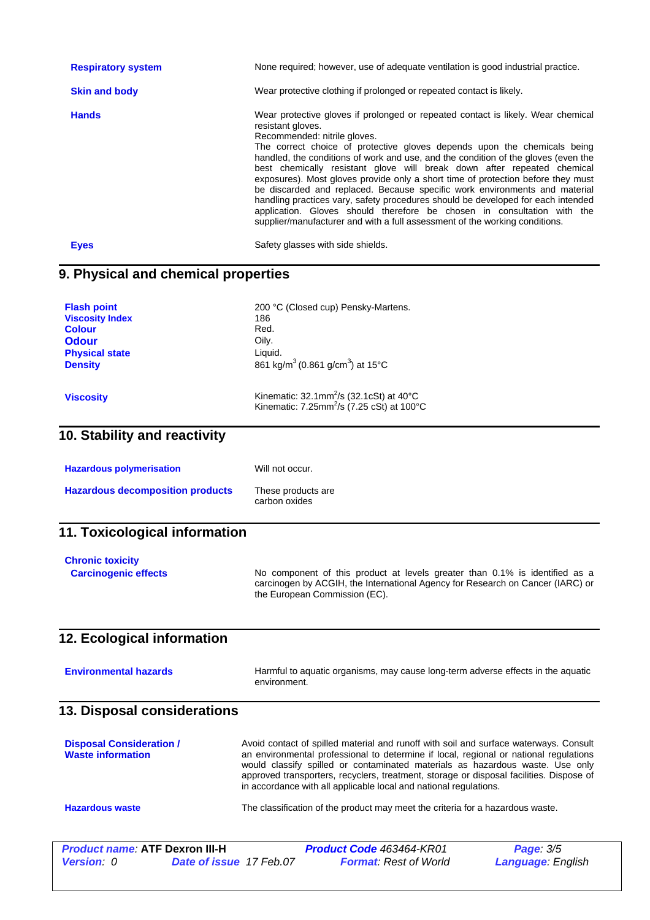| <b>Respiratory system</b> | None required; however, use of adequate ventilation is good industrial practice.                                                                                                                                                                                                                                                                                                                                                                                                                                                                                                                                                                                                                                                                                                                   |
|---------------------------|----------------------------------------------------------------------------------------------------------------------------------------------------------------------------------------------------------------------------------------------------------------------------------------------------------------------------------------------------------------------------------------------------------------------------------------------------------------------------------------------------------------------------------------------------------------------------------------------------------------------------------------------------------------------------------------------------------------------------------------------------------------------------------------------------|
| <b>Skin and body</b>      | Wear protective clothing if prolonged or repeated contact is likely.                                                                                                                                                                                                                                                                                                                                                                                                                                                                                                                                                                                                                                                                                                                               |
| <b>Hands</b>              | Wear protective gloves if prolonged or repeated contact is likely. Wear chemical<br>resistant gloves.<br>Recommended: nitrile gloves.<br>The correct choice of protective gloves depends upon the chemicals being<br>handled, the conditions of work and use, and the condition of the gloves (even the<br>best chemically resistant glove will break down after repeated chemical<br>exposures). Most gloves provide only a short time of protection before they must<br>be discarded and replaced. Because specific work environments and material<br>handling practices vary, safety procedures should be developed for each intended<br>application. Gloves should therefore be chosen in consultation with the<br>supplier/manufacturer and with a full assessment of the working conditions. |
| <b>Eyes</b>               | Safety glasses with side shields.                                                                                                                                                                                                                                                                                                                                                                                                                                                                                                                                                                                                                                                                                                                                                                  |

## **9. Physical and chemical properties**

| <b>Flash point</b><br><b>Viscosity Index</b><br><b>Colour</b><br><b>Odour</b><br><b>Physical state</b><br><b>Density</b> | 200 °C (Closed cup) Pensky-Martens.<br>186<br>Red.<br>Oily.<br>Liquid.<br>861 kg/m <sup>3</sup> (0.861 g/cm <sup>3</sup> ) at 15°C |  |  |
|--------------------------------------------------------------------------------------------------------------------------|------------------------------------------------------------------------------------------------------------------------------------|--|--|
| <b>Viscosity</b>                                                                                                         | Kinematic: $32.1$ mm <sup>2</sup> /s ( $32.1$ cSt) at $40^{\circ}$ C<br>Kinematic: 7.25mm <sup>2</sup> /s (7.25 cSt) at 100°C      |  |  |
| 10. Stability and reactivity                                                                                             |                                                                                                                                    |  |  |
| <b>Hazardous polymerisation</b>                                                                                          | Will not occur.                                                                                                                    |  |  |
| <b>Hazardous decomposition products</b>                                                                                  | These products are<br>carbon oxides                                                                                                |  |  |
| 11. Toxicological information                                                                                            |                                                                                                                                    |  |  |
| <b>Chronic toxicity</b><br><b>Carcinogenic effects</b>                                                                   | No component of this product at levels greater than 0.1% is identified as a                                                        |  |  |

# **12. Ecological information**

| <b>Environmental hazards</b> | Harmful to aquatic organisms, may cause long-term adverse effects in the aquatic |
|------------------------------|----------------------------------------------------------------------------------|
|                              | environment.                                                                     |

the European Commission (EC).

carcinogen by ACGIH, the International Agency for Research on Cancer (IARC) or

### **13. Disposal considerations**

| <b>Disposal Consideration /</b><br><b>Waste information</b> | Avoid contact of spilled material and runoff with soil and surface waterways. Consult<br>an environmental professional to determine if local, regional or national regulations<br>would classify spilled or contaminated materials as hazardous waste. Use only<br>approved transporters, recyclers, treatment, storage or disposal facilities. Dispose of<br>in accordance with all applicable local and national regulations. |
|-------------------------------------------------------------|---------------------------------------------------------------------------------------------------------------------------------------------------------------------------------------------------------------------------------------------------------------------------------------------------------------------------------------------------------------------------------------------------------------------------------|
| <b>Hazardous waste</b>                                      | The classification of the product may meet the criteria for a hazardous waste.                                                                                                                                                                                                                                                                                                                                                  |

| <b>Product name: ATF Dexron III-H</b> |                                | <b>Product Code 463464-KR01</b> | <b>Page: 3/5</b>         |
|---------------------------------------|--------------------------------|---------------------------------|--------------------------|
| <b>Version</b> 0                      | <b>Date of issue 17 Feb.07</b> | <b>Format:</b> Rest of World    | <b>Language: English</b> |